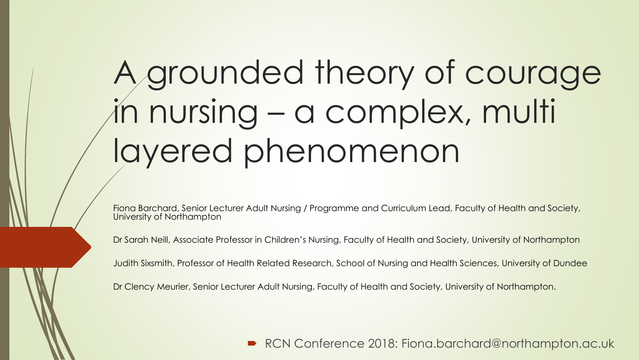# A grounded theory of courage in nursing – a complex, multi layered phenomenon

Fiona Barchard, Senior Lecturer Adult Nursing / Programme and Curriculum Lead, Faculty of Health and Society, University of Northampton

Dr Sarah Neill, Associate Professor in Children's Nursing, Faculty of Health and Society, University of Northampton

Judith Sixsmith, Professor of Health Related Research, School of Nursing and Health Sciences, University of Dundee

Dr Clency Meurier, Senior Lecturer Adult Nursing, Faculty of Health and Society, University of Northampton.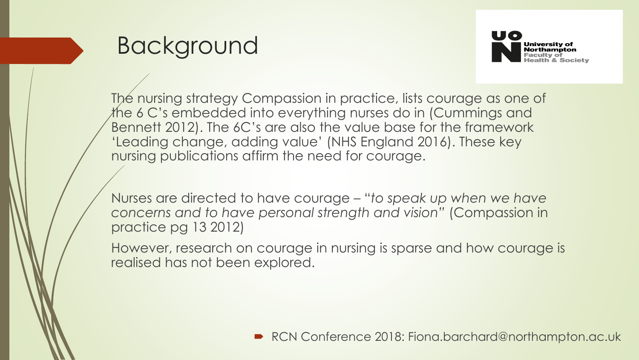



The nursing strategy Compassion in practice, lists courage as one of the 6 C's embedded into everything nurses do in (Cummings and Bennett 2012). The 6C's are also the value base for the framework 'Leading change, adding value' (NHS England 2016). These key nursing publications affirm the need for courage.

Nurses are directed to have courage – "*to speak up when we have concerns and to have personal strength and vision"* (Compassion in practice pg 13 2012)

However, research on courage in nursing is sparse and how courage is realised has not been explored.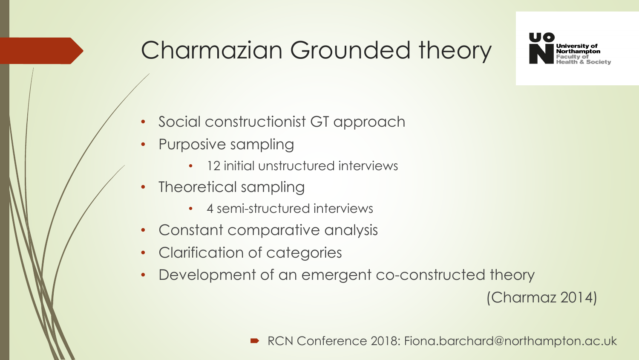

# Charmazian Grounded theory

- Social constructionist GT approach
- Purposive sampling
	- 12 initial unstructured interviews
- Theoretical sampling
	- 4 semi-structured interviews
- Constant comparative analysis
- Clarification of categories
- Development of an emergent co-constructed theory

(Charmaz 2014)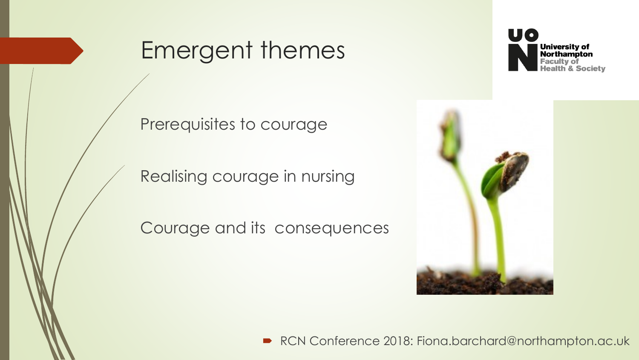#### Emergent themes



Prerequisites to courage

Realising courage in nursing

Courage and its consequences

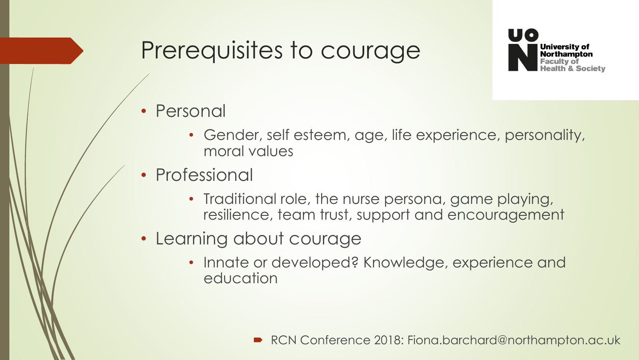## Prerequisites to courage



- Personal
	- Gender, self esteem, age, life experience, personality, moral values
- **Professional** 
	- Traditional role, the nurse persona, game playing, resilience, team trust, support and encouragement
- Learning about courage
	- Innate or developed? Knowledge, experience and education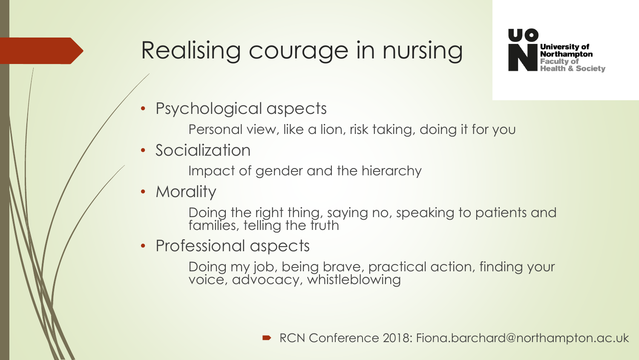## Realising courage in nursing



- Psychological aspects
	- Personal view, like a lion, risk taking, doing it for you
- Socialization

Impact of gender and the hierarchy

• Morality

Doing the right thing, saying no, speaking to patients and families, telling the truth

• Professional aspects

Doing my job, being brave, practical action, finding your voice, advocacy, whistleblowing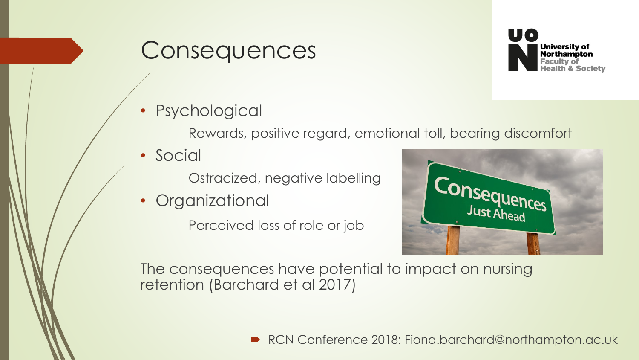#### **Consequences**



**Psychological** 

Rewards, positive regard, emotional toll, bearing discomfort

• Social

Ostracized, negative labelling

• Organizational

Perceived loss of role or job



The consequences have potential to impact on nursing retention (Barchard et al 2017)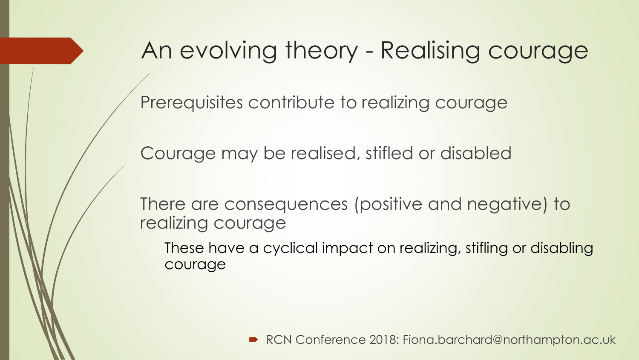#### An evolving theory - Realising courage

Prerequisites contribute to realizing courage

Courage may be realised, stifled or disabled

There are consequences (positive and negative) to realizing courage

These have a cyclical impact on realizing, stifling or disabling courage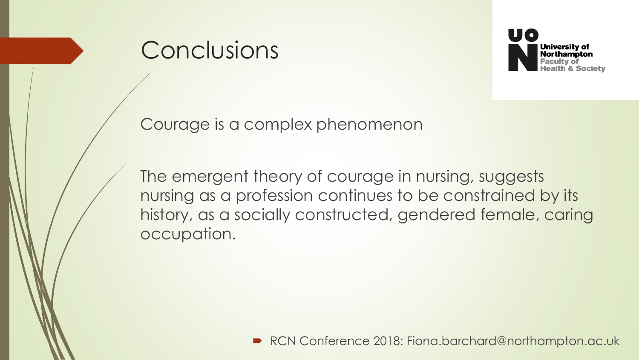#### Conclusions



Courage is a complex phenomenon

The emergent theory of courage in nursing, suggests nursing as a profession continues to be constrained by its history, as a socially constructed, gendered female, caring occupation.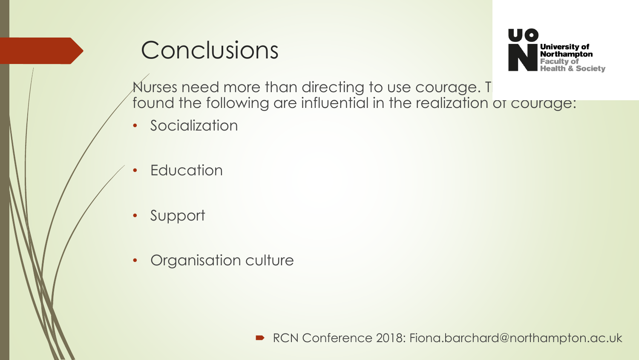## **Conclusions**



Nurses need more than directing to use courage. This found the following are influential in the realization of courage:

- Socialization
- **Education**
- Support
- Organisation culture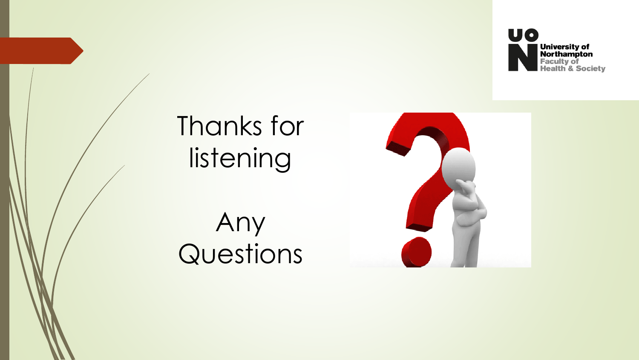



# Thanks for listening

Any Questions